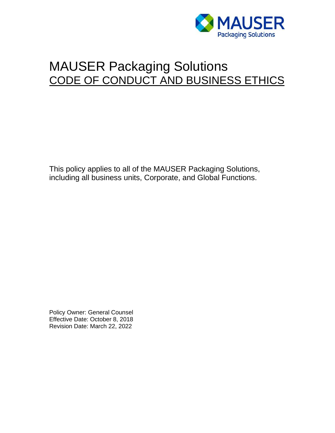

# MAUSER Packaging Solutions CODE OF CONDUCT AND BUSINESS ETHICS

This policy applies to all of the MAUSER Packaging Solutions, including all business units, Corporate, and Global Functions.

Policy Owner: General Counsel Effective Date: October 8, 2018 Revision Date: March 22, 2022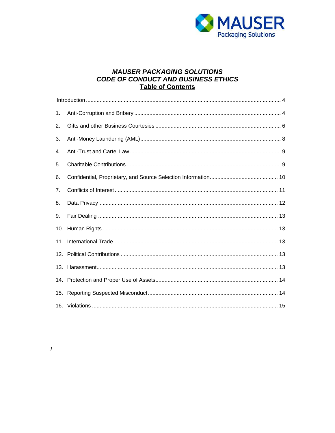

## **MAUSER PACKAGING SOLUTIONS CODE OF CONDUCT AND BUSINESS ETHICS Table of Contents**

| 1.             |  |  |
|----------------|--|--|
| 2.             |  |  |
| 3.             |  |  |
| 4.             |  |  |
| 5.             |  |  |
| 6.             |  |  |
| 7 <sub>1</sub> |  |  |
| 8.             |  |  |
| 9.             |  |  |
|                |  |  |
| 11.            |  |  |
|                |  |  |
|                |  |  |
|                |  |  |
| 15.            |  |  |
|                |  |  |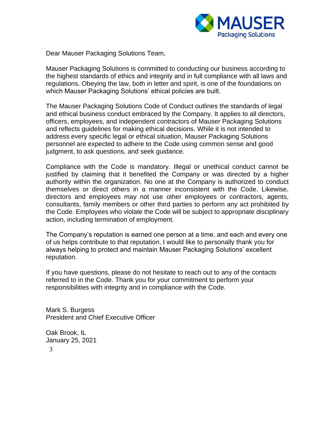

Dear Mauser Packaging Solutions Team,

Mauser Packaging Solutions is committed to conducting our business according to the highest standards of ethics and integrity and in full compliance with all laws and regulations. Obeying the law, both in letter and spirit, is one of the foundations on which Mauser Packaging Solutions' ethical policies are built.

The Mauser Packaging Solutions Code of Conduct outlines the standards of legal and ethical business conduct embraced by the Company. It applies to all directors, officers, employees, and independent contractors of Mauser Packaging Solutions and reflects guidelines for making ethical decisions. While it is not intended to address every specific legal or ethical situation, Mauser Packaging Solutions personnel are expected to adhere to the Code using common sense and good judgment, to ask questions, and seek guidance.

Compliance with the Code is mandatory. Illegal or unethical conduct cannot be justified by claiming that it benefited the Company or was directed by a higher authority within the organization. No one at the Company is authorized to conduct themselves or direct others in a manner inconsistent with the Code. Likewise, directors and employees may not use other employees or contractors, agents, consultants, family members or other third parties to perform any act prohibited by the Code. Employees who violate the Code will be subject to appropriate disciplinary action, including termination of employment.

The Company's reputation is earned one person at a time, and each and every one of us helps contribute to that reputation. I would like to personally thank you for always helping to protect and maintain Mauser Packaging Solutions' excellent reputation.

If you have questions, please do not hesitate to reach out to any of the contacts referred to in the Code. Thank you for your commitment to perform your responsibilities with integrity and in compliance with the Code.

Mark S. Burgess President and Chief Executive Officer

3 Oak Brook, IL January 25, 2021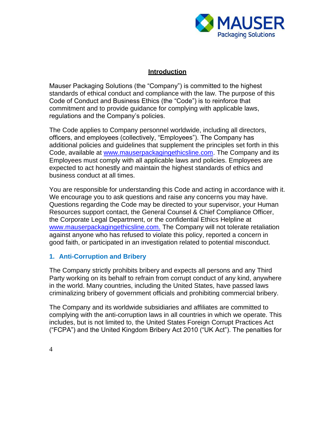

#### **Introduction**

<span id="page-3-0"></span>Mauser Packaging Solutions (the "Company") is committed to the highest standards of ethical conduct and compliance with the law. The purpose of this Code of Conduct and Business Ethics (the "Code") is to reinforce that commitment and to provide guidance for complying with applicable laws, regulations and the Company's policies.

The Code applies to Company personnel worldwide, including all directors, officers, and employees (collectively, "Employees"). The Company has additional policies and guidelines that supplement the principles set forth in this Code, available at [www.mauserpackagingethicsline.com.](http://www.mauserpackagingethicsline.com/) The Company and its Employees must comply with all applicable laws and policies. Employees are expected to act honestly and maintain the highest standards of ethics and business conduct at all times.

You are responsible for understanding this Code and acting in accordance with it. We encourage you to ask questions and raise any concerns you may have. Questions regarding the Code may be directed to your supervisor, your Human Resources support contact, the General Counsel & Chief Compliance Officer, the Corporate Legal Department, or the confidential Ethics Helpline at [www.mauserpackagingethicsline.com.](http://www.mauserpackagingethicsline.com/) The Company will not tolerate retaliation against anyone who has refused to violate this policy, reported a concern in good faith, or participated in an investigation related to potential misconduct.

#### <span id="page-3-1"></span>**1. Anti-Corruption and Bribery**

The Company strictly prohibits bribery and expects all persons and any Third Party working on its behalf to refrain from corrupt conduct of any kind, anywhere in the world. Many countries, including the United States, have passed laws criminalizing bribery of government officials and prohibiting commercial bribery.

The Company and its worldwide subsidiaries and affiliates are committed to complying with the anti-corruption laws in all countries in which we operate. This includes, but is not limited to, the United States Foreign Corrupt Practices Act ("FCPA") and the United Kingdom Bribery Act 2010 ("UK Act"). The penalties for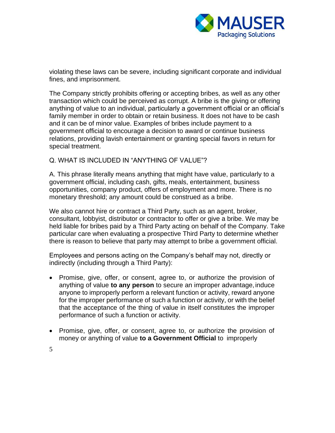

violating these laws can be severe, including significant corporate and individual fines, and imprisonment.

The Company strictly prohibits offering or accepting bribes, as well as any other transaction which could be perceived as corrupt. A bribe is the giving or offering anything of value to an individual, particularly a government official or an official's family member in order to obtain or retain business. It does not have to be cash and it can be of minor value. Examples of bribes include payment to a government official to encourage a decision to award or continue business relations, providing lavish entertainment or granting special favors in return for special treatment.

### Q. WHAT IS INCLUDED IN "ANYTHING OF VALUE"?

A. This phrase literally means anything that might have value, particularly to a government official, including cash, gifts, meals, entertainment, business opportunities, company product, offers of employment and more. There is no monetary threshold; any amount could be construed as a bribe.

We also cannot hire or contract a Third Party, such as an agent, broker, consultant, lobbyist, distributor or contractor to offer or give a bribe. We may be held liable for bribes paid by a Third Party acting on behalf of the Company. Take particular care when evaluating a prospective Third Party to determine whether there is reason to believe that party may attempt to bribe a government official.

Employees and persons acting on the Company's behalf may not, directly or indirectly (including through a Third Party):

- Promise, give, offer, or consent, agree to, or authorize the provision of anything of value **to any person** to secure an improper advantage,induce anyone to improperly perform a relevant function or activity, reward anyone for the improper performance of such a function or activity, or with the belief that the acceptance of the thing of value in itself constitutes the improper performance of such a function or activity.
- Promise, give, offer, or consent, agree to, or authorize the provision of money or anything of value **to a Government Official** to improperly
- 5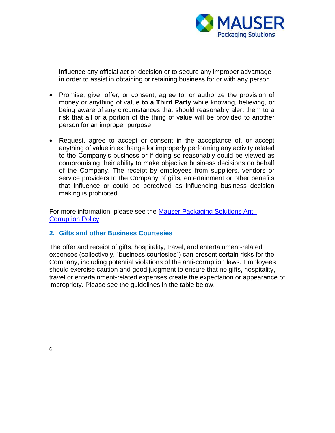

influence any official act or decision or to secure any improper advantage in order to assist in obtaining or retaining business for or with any person.

- Promise, give, offer, or consent, agree to, or authorize the provision of money or anything of value **to a Third Party** while knowing, believing, or being aware of any circumstances that should reasonably alert them to a risk that all or a portion of the thing of value will be provided to another person for an improper purpose.
- Request, agree to accept or consent in the acceptance of, or accept anything of value in exchange for improperly performing any activity related to the Company's business or if doing so reasonably could be viewed as compromising their ability to make objective business decisions on behalf of the Company. The receipt by employees from suppliers, vendors or service providers to the Company of gifts, entertainment or other benefits that influence or could be perceived as influencing business decision making is prohibited.

For more information, please see the [Mauser Packaging Solutions Anti-](https://mauserpackaging.com/wp-content/uploads/2022/06/MPS-Anti-Corruption-Policy.pdf)[Corruption Policy](https://mauserpackaging.com/wp-content/uploads/2022/06/MPS-Anti-Corruption-Policy.pdf)

### <span id="page-5-0"></span>**2. Gifts and other Business Courtesies**

The offer and receipt of gifts, hospitality, travel, and entertainment-related expenses (collectively, "business courtesies") can present certain risks for the Company, including potential violations of the anti-corruption laws. Employees should exercise caution and good judgment to ensure that no gifts, hospitality, travel or entertainment-related expenses create the expectation or appearance of impropriety. Please see the guidelines in the table below.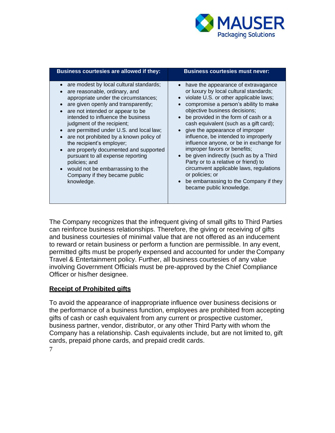

| Business courtesies are allowed if they:                                                                                                                                                                                                                                                                                                                                                                                                                                                                                                                                 | <b>Business courtesies must never:</b>                                                                                                                                                                                                                                                                                                                                                                                                                                                                                                                                                                                                                             |
|--------------------------------------------------------------------------------------------------------------------------------------------------------------------------------------------------------------------------------------------------------------------------------------------------------------------------------------------------------------------------------------------------------------------------------------------------------------------------------------------------------------------------------------------------------------------------|--------------------------------------------------------------------------------------------------------------------------------------------------------------------------------------------------------------------------------------------------------------------------------------------------------------------------------------------------------------------------------------------------------------------------------------------------------------------------------------------------------------------------------------------------------------------------------------------------------------------------------------------------------------------|
| are modest by local cultural standards;<br>are reasonable, ordinary, and<br>appropriate under the circumstances;<br>are given openly and transparently;<br>are not intended or appear to be<br>intended to influence the business<br>judgment of the recipient;<br>• are permitted under U.S. and local law;<br>are not prohibited by a known policy of<br>the recipient's employer;<br>are properly documented and supported<br>pursuant to all expense reporting<br>policies; and<br>• would not be embarrassing to the<br>Company if they became public<br>knowledge. | • have the appearance of extravagance<br>or luxury by local cultural standards;<br>violate U.S. or other applicable laws;<br>compromise a person's ability to make<br>objective business decisions;<br>be provided in the form of cash or a<br>cash equivalent (such as a gift card);<br>give the appearance of improper<br>influence, be intended to improperly<br>influence anyone, or be in exchange for<br>improper favors or benefits;<br>be given indirectly (such as by a Third<br>Party or to a relative or friend) to<br>circumvent applicable laws, regulations<br>or policies; or<br>be embarrassing to the Company if they<br>became public knowledge. |

The Company recognizes that the infrequent giving of small gifts to Third Parties can reinforce business relationships. Therefore, the giving or receiving of gifts and business courtesies of minimal value that are not offered as an inducement to reward or retain business or perform a function are permissible. In any event, permitted gifts must be properly expensed and accounted for under the Company Travel & Entertainment policy. Further, all business courtesies of any value involving Government Officials must be pre-approved by the Chief Compliance Officer or his/her designee.

### **Receipt of Prohibited gifts**

To avoid the appearance of inappropriate influence over business decisions or the performance of a business function, employees are prohibited from accepting gifts of cash or cash equivalent from any current or prospective customer, business partner, vendor, distributor, or any other Third Party with whom the Company has a relationship. Cash equivalents include, but are not limited to, gift cards, prepaid phone cards, and prepaid credit cards.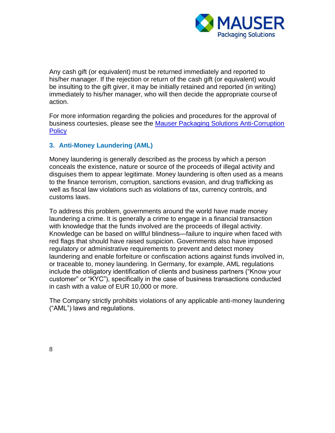

Any cash gift (or equivalent) must be returned immediately and reported to his/her manager. If the rejection or return of the cash gift (or equivalent) would be insulting to the gift giver, it may be initially retained and reported (in writing) immediately to his/her manager, who will then decide the appropriate course of action.

For more information regarding the policies and procedures for the approval of business courtesies, please see the [Mauser Packaging Solutions Anti-Corruption](https://mauserpackaging.com/wp-content/uploads/2022/06/MPS-Anti-Corruption-Policy.pdf)  **[Policy](https://mauserpackaging.com/wp-content/uploads/2022/06/MPS-Anti-Corruption-Policy.pdf)** 

### <span id="page-7-0"></span>**3. Anti-Money Laundering (AML)**

Money laundering is generally described as the process by which a person conceals the existence, nature or source of the proceeds of illegal activity and disguises them to appear legitimate. Money laundering is often used as a means to the finance terrorism, corruption, sanctions evasion, and drug trafficking as well as fiscal law violations such as violations of tax, currency controls, and customs laws.

To address this problem, governments around the world have made money laundering a crime. It is generally a crime to engage in a financial transaction with knowledge that the funds involved are the proceeds of illegal activity. Knowledge can be based on willful blindness—failure to inquire when faced with red flags that should have raised suspicion. Governments also have imposed regulatory or administrative requirements to prevent and detect money laundering and enable forfeiture or confiscation actions against funds involved in, or traceable to, money laundering. In Germany, for example, AML regulations include the obligatory identification of clients and business partners ("Know your customer" or "KYC"), specifically in the case of business transactions conducted in cash with a value of EUR 10,000 or more.

The Company strictly prohibits violations of any applicable anti-money laundering ("AML") laws and regulations.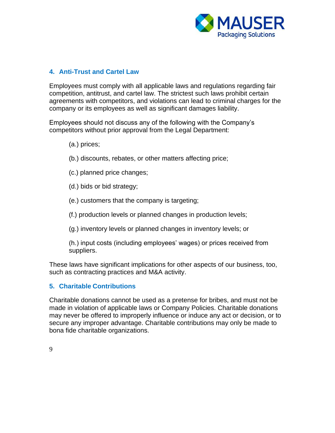

# <span id="page-8-0"></span>**4. Anti-Trust and Cartel Law**

Employees must comply with all applicable laws and regulations regarding fair competition, antitrust, and cartel law. The strictest such laws prohibit certain agreements with competitors, and violations can lead to criminal charges for the company or its employees as well as significant damages liability.

Employees should not discuss any of the following with the Company's competitors without prior approval from the Legal Department:

(a.) prices;

- (b.) discounts, rebates, or other matters affecting price;
- (c.) planned price changes;
- (d.) bids or bid strategy;
- (e.) customers that the company is targeting;

(f.) production levels or planned changes in production levels;

(g.) inventory levels or planned changes in inventory levels; or

(h.) input costs (including employees' wages) or prices received from suppliers.

These laws have significant implications for other aspects of our business, too, such as contracting practices and M&A activity.

### <span id="page-8-1"></span>**5. Charitable Contributions**

Charitable donations cannot be used as a pretense for bribes, and must not be made in violation of applicable laws or Company Policies. Charitable donations may never be offered to improperly influence or induce any act or decision, or to secure any improper advantage. Charitable contributions may only be made to bona fide charitable organizations.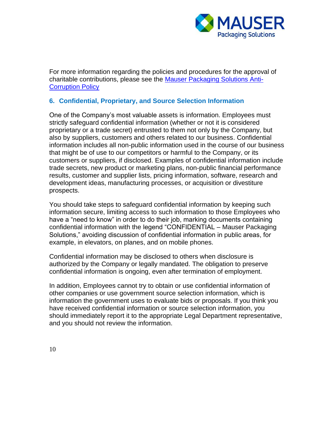

For more information regarding the policies and procedures for the approval of charitable contributions, please see the [Mauser Packaging Solutions Anti-](https://mauserpackaging.com/wp-content/uploads/2022/06/MPS-Anti-Corruption-Policy.pdf)[Corruption Policy](https://mauserpackaging.com/wp-content/uploads/2022/06/MPS-Anti-Corruption-Policy.pdf)

## **6. Confidential, Proprietary, and Source Selection Information**

One of the Company's most valuable assets is information. Employees must strictly safeguard confidential information (whether or not it is considered proprietary or a trade secret) entrusted to them not only by the Company, but also by suppliers, customers and others related to our business. Confidential information includes all non-public information used in the course of our business that might be of use to our competitors or harmful to the Company, or its customers or suppliers, if disclosed. Examples of confidential information include trade secrets, new product or marketing plans, non-public financial performance results, customer and supplier lists, pricing information, software, research and development ideas, manufacturing processes, or acquisition or divestiture prospects.

You should take steps to safeguard confidential information by keeping such information secure, limiting access to such information to those Employees who have a "need to know" in order to do their job, marking documents containing confidential information with the legend "CONFIDENTIAL – Mauser Packaging Solutions," avoiding discussion of confidential information in public areas, for example, in elevators, on planes, and on mobile phones.

Confidential information may be disclosed to others when disclosure is authorized by the Company or legally mandated. The obligation to preserve confidential information is ongoing, even after termination of employment.

In addition, Employees cannot try to obtain or use confidential information of other companies or use government source selection information, which is information the government uses to evaluate bids or proposals. If you think you have received confidential information or source selection information, you should immediately report it to the appropriate Legal Department representative, and you should not review the information.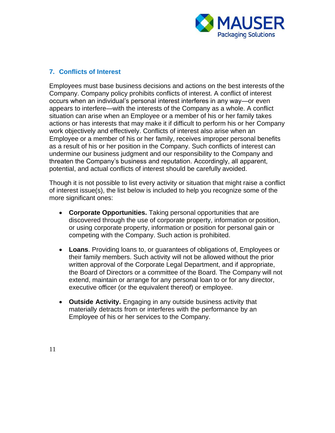

### <span id="page-10-0"></span>**7. Conflicts of Interest**

Employees must base business decisions and actions on the best interests of the Company. Company policy prohibits conflicts of interest. A conflict of interest occurs when an individual's personal interest interferes in any way—or even appears to interfere—with the interests of the Company as a whole. A conflict situation can arise when an Employee or a member of his or her family takes actions or has interests that may make it if difficult to perform his or her Company work objectively and effectively. Conflicts of interest also arise when an Employee or a member of his or her family, receives improper personal benefits as a result of his or her position in the Company. Such conflicts of interest can undermine our business judgment and our responsibility to the Company and threaten the Company's business and reputation. Accordingly, all apparent, potential, and actual conflicts of interest should be carefully avoided.

Though it is not possible to list every activity or situation that might raise a conflict of interest issue(s), the list below is included to help you recognize some of the more significant ones:

- **Corporate Opportunities.** Taking personal opportunities that are discovered through the use of corporate property, information or position, or using corporate property, information or position for personal gain or competing with the Company. Such action is prohibited.
- **Loans**. Providing loans to, or guarantees of obligations of, Employees or their family members. Such activity will not be allowed without the prior written approval of the Corporate Legal Department, and if appropriate, the Board of Directors or a committee of the Board. The Company will not extend, maintain or arrange for any personal loan to or for any director, executive officer (or the equivalent thereof) or employee.
- **Outside Activity.** Engaging in any outside business activity that materially detracts from or interferes with the performance by an Employee of his or her services to the Company.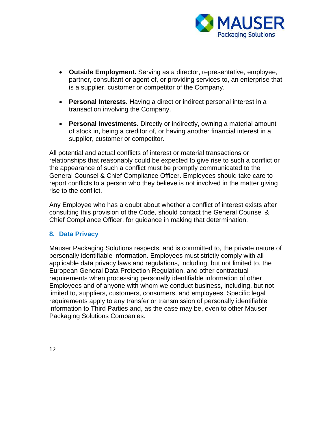

- **Outside Employment.** Serving as a director, representative, employee, partner, consultant or agent of, or providing services to, an enterprise that is a supplier, customer or competitor of the Company.
- **Personal Interests.** Having a direct or indirect personal interest in a transaction involving the Company.
- **Personal Investments.** Directly or indirectly, owning a material amount of stock in, being a creditor of, or having another financial interest in a supplier, customer or competitor.

All potential and actual conflicts of interest or material transactions or relationships that reasonably could be expected to give rise to such a conflict or the appearance of such a conflict must be promptly communicated to the General Counsel & Chief Compliance Officer. Employees should take care to report conflicts to a person who they believe is not involved in the matter giving rise to the conflict.

Any Employee who has a doubt about whether a conflict of interest exists after consulting this provision of the Code, should contact the General Counsel & Chief Compliance Officer, for guidance in making that determination.

# <span id="page-11-0"></span>**8. Data Privacy**

Mauser Packaging Solutions respects, and is committed to, the private nature of personally identifiable information. Employees must strictly comply with all applicable data privacy laws and regulations, including, but not limited to, the European General Data Protection Regulation, and other contractual requirements when processing personally identifiable information of other Employees and of anyone with whom we conduct business, including, but not limited to, suppliers, customers, consumers, and employees. Specific legal requirements apply to any transfer or transmission of personally identifiable information to Third Parties and, as the case may be, even to other Mauser Packaging Solutions Companies.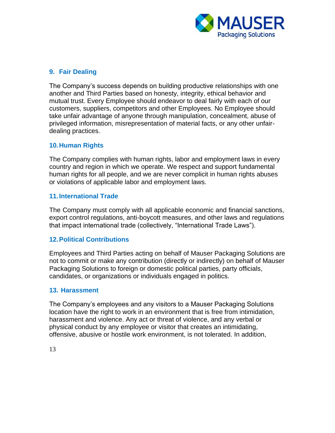

# <span id="page-12-0"></span>**9. Fair Dealing**

The Company's success depends on building productive relationships with one another and Third Parties based on honesty, integrity, ethical behavior and mutual trust. Every Employee should endeavor to deal fairly with each of our customers, suppliers, competitors and other Employees. No Employee should take unfair advantage of anyone through manipulation, concealment, abuse of privileged information, misrepresentation of material facts, or any other unfairdealing practices.

### <span id="page-12-1"></span>**10.Human Rights**

The Company complies with human rights, labor and employment laws in every country and region in which we operate. We respect and support fundamental human rights for all people, and we are never complicit in human rights abuses or violations of applicable labor and employment laws.

#### <span id="page-12-2"></span>**11.International Trade**

The Company must comply with all applicable economic and financial sanctions, export control regulations, anti-boycott measures, and other laws and regulations that impact international trade (collectively, "International Trade Laws").

#### <span id="page-12-3"></span>**12.Political Contributions**

Employees and Third Parties acting on behalf of Mauser Packaging Solutions are not to commit or make any contribution (directly or indirectly) on behalf of Mauser Packaging Solutions to foreign or domestic political parties, party officials, candidates, or organizations or individuals engaged in politics.

#### <span id="page-12-4"></span>**13. Harassment**

The Company's employees and any visitors to a Mauser Packaging Solutions location have the right to work in an environment that is free from intimidation, harassment and violence. Any act or threat of violence, and any verbal or physical conduct by any employee or visitor that creates an intimidating, offensive, abusive or hostile work environment, is not tolerated. In addition,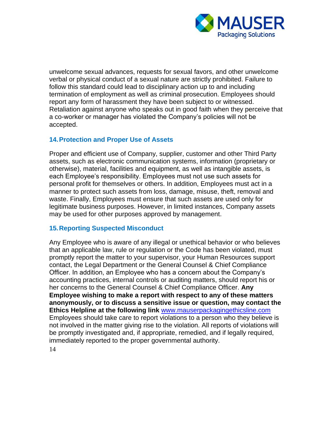

unwelcome sexual advances, requests for sexual favors, and other unwelcome verbal or physical conduct of a sexual nature are strictly prohibited. Failure to follow this standard could lead to disciplinary action up to and including termination of employment as well as criminal prosecution. Employees should report any form of harassment they have been subject to or witnessed. Retaliation against anyone who speaks out in good faith when they perceive that a co-worker or manager has violated the Company's policies will not be accepted.

### <span id="page-13-0"></span>**14.Protection and Proper Use of Assets**

Proper and efficient use of Company, supplier, customer and other Third Party assets, such as electronic communication systems, information (proprietary or otherwise), material, facilities and equipment, as well as intangible assets, is each Employee's responsibility. Employees must not use such assets for personal profit for themselves or others. In addition, Employees must act in a manner to protect such assets from loss, damage, misuse, theft, removal and waste. Finally, Employees must ensure that such assets are used only for legitimate business purposes. However, in limited instances, Company assets may be used for other purposes approved by management.

### <span id="page-13-1"></span>**15.Reporting Suspected Misconduct**

14 Any Employee who is aware of any illegal or unethical behavior or who believes that an applicable law, rule or regulation or the Code has been violated, must promptly report the matter to your supervisor, your Human Resources support contact, the Legal Department or the General Counsel & Chief Compliance Officer. In addition, an Employee who has a concern about the Company's accounting practices, internal controls or auditing matters, should report his or her concerns to the General Counsel & Chief Compliance Officer. **Any Employee wishing to make a report with respect to any of these matters anonymously, or to discuss a sensitive issue or question, may contact the Ethics Helpline at the following link** [www.mauserpackagingethicsline.com](http://www.mauserpackagingethicsline.com/) Employees should take care to report violations to a person who they believe is not involved in the matter giving rise to the violation. All reports of violations will be promptly investigated and, if appropriate, remedied, and if legally required, immediately reported to the proper governmental authority.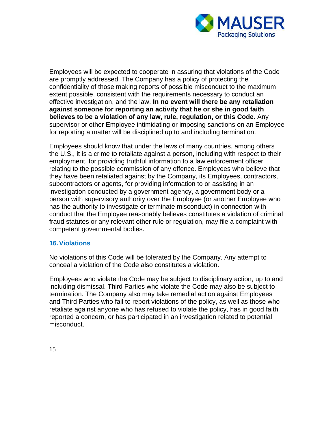

Employees will be expected to cooperate in assuring that violations of the Code are promptly addressed. The Company has a policy of protecting the confidentiality of those making reports of possible misconduct to the maximum extent possible, consistent with the requirements necessary to conduct an effective investigation, and the law. **In no event will there be any retaliation against someone for reporting an activity that he or she in good faith believes to be a violation of any law, rule, regulation, or this Code.** Any supervisor or other Employee intimidating or imposing sanctions on an Employee for reporting a matter will be disciplined up to and including termination.

Employees should know that under the laws of many countries, among others the U.S., it is a crime to retaliate against a person, including with respect to their employment, for providing truthful information to a law enforcement officer relating to the possible commission of any offence. Employees who believe that they have been retaliated against by the Company, its Employees, contractors, subcontractors or agents, for providing information to or assisting in an investigation conducted by a government agency, a government body or a person with supervisory authority over the Employee (or another Employee who has the authority to investigate or terminate misconduct) in connection with conduct that the Employee reasonably believes constitutes a violation of criminal fraud statutes or any relevant other rule or regulation, may file a complaint with competent governmental bodies.

### <span id="page-14-0"></span>**16.Violations**

No violations of this Code will be tolerated by the Company. Any attempt to conceal a violation of the Code also constitutes a violation.

Employees who violate the Code may be subject to disciplinary action, up to and including dismissal. Third Parties who violate the Code may also be subject to termination. The Company also may take remedial action against Employees and Third Parties who fail to report violations of the policy, as well as those who retaliate against anyone who has refused to violate the policy, has in good faith reported a concern, or has participated in an investigation related to potential misconduct.